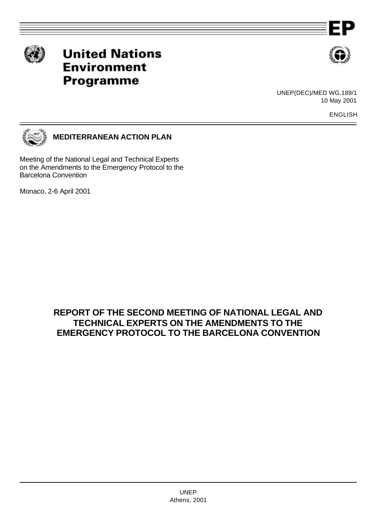



## **United Nations Environment Programme**



UNEP(DEC)/MED WG.189/1 10 May 2001

ENGLISH



**MEDITERRANEAN ACTION PLAN**

Meeting of the National Legal and Technical Experts on the Amendments to the Emergency Protocol to the Barcelona Convention

Monaco, 2-6 April 2001

### **REPORT OF THE SECOND MEETING OF NATIONAL LEGAL AND TECHNICAL EXPERTS ON THE AMENDMENTS TO THE EMERGENCY PROTOCOL TO THE BARCELONA CONVENTION**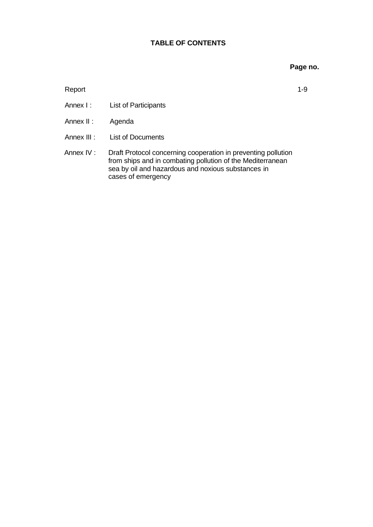### **TABLE OF CONTENTS**

**Page no.**

Report that the contract of the contract of the contract of the contract of the contract of the contract of the contract of the contract of the contract of the contract of the contract of the contract of the contract of th

- Annex I: List of Participants
- Annex II: Agenda
- Annex III : List of Documents
- Annex IV : Draft Protocol concerning cooperation in preventing pollution from ships and in combating pollution of the Mediterranean sea by oil and hazardous and noxious substances in cases of emergency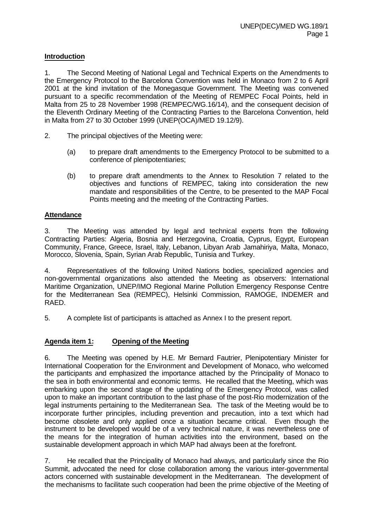### **Introduction**

1. The Second Meeting of National Legal and Technical Experts on the Amendments to the Emergency Protocol to the Barcelona Convention was held in Monaco from 2 to 6 April 2001 at the kind invitation of the Monegasque Government. The Meeting was convened pursuant to a specific recommendation of the Meeting of REMPEC Focal Points, held in Malta from 25 to 28 November 1998 (REMPEC/WG.16/14), and the consequent decision of the Eleventh Ordinary Meeting of the Contracting Parties to the Barcelona Convention, held in Malta from 27 to 30 October 1999 (UNEP(OCA)/MED 19.12/9).

- 2. The principal objectives of the Meeting were:
	- (a) to prepare draft amendments to the Emergency Protocol to be submitted to a conference of plenipotentiaries;
	- (b) to prepare draft amendments to the Annex to Resolution 7 related to the objectives and functions of REMPEC, taking into consideration the new mandate and responsibilities of the Centre, to be presented to the MAP Focal Points meeting and the meeting of the Contracting Parties.

### **Attendance**

3. The Meeting was attended by legal and technical experts from the following Contracting Parties: Algeria, Bosnia and Herzegovina, Croatia, Cyprus, Egypt, European Community, France, Greece, Israel, Italy, Lebanon, Libyan Arab Jamahiriya, Malta, Monaco, Morocco, Slovenia, Spain, Syrian Arab Republic, Tunisia and Turkey.

4. Representatives of the following United Nations bodies, specialized agencies and non-governmental organizations also attended the Meeting as observers: International Maritime Organization, UNEP/IMO Regional Marine Pollution Emergency Response Centre for the Mediterranean Sea (REMPEC), Helsinki Commission, RAMOGE, INDEMER and RAED.

5. A complete list of participants is attached as Annex I to the present report.

### **Agenda item 1: Opening of the Meeting**

6. The Meeting was opened by H.E. Mr Bernard Fautrier, Plenipotentiary Minister for International Cooperation for the Environment and Development of Monaco, who welcomed the participants and emphasized the importance attached by the Principality of Monaco to the sea in both environmental and economic terms. He recalled that the Meeting, which was embarking upon the second stage of the updating of the Emergency Protocol, was called upon to make an important contribution to the last phase of the post-Rio modernization of the legal instruments pertaining to the Mediterranean Sea. The task of the Meeting would be to incorporate further principles, including prevention and precaution, into a text which had become obsolete and only applied once a situation became critical. Even though the instrument to be developed would be of a very technical nature, it was nevertheless one of the means for the integration of human activities into the environment, based on the sustainable development approach in which MAP had always been at the forefront.

7. He recalled that the Principality of Monaco had always, and particularly since the Rio Summit, advocated the need for close collaboration among the various inter-governmental actors concerned with sustainable development in the Mediterranean. The development of the mechanisms to facilitate such cooperation had been the prime objective of the Meeting of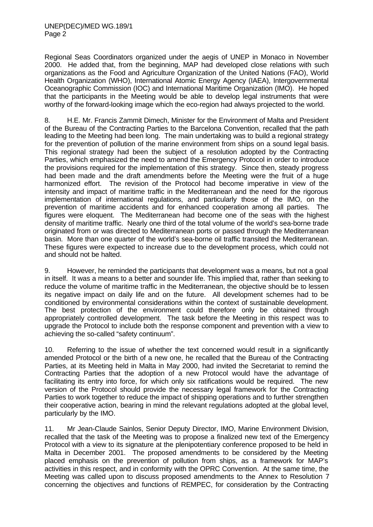Regional Seas Coordinators organized under the aegis of UNEP in Monaco in November 2000. He added that, from the beginning, MAP had developed close relations with such organizations as the Food and Agriculture Organization of the United Nations (FAO), World Health Organization (WHO), International Atomic Energy Agency (IAEA), Intergovernmental Oceanographic Commission (IOC) and International Maritime Organization (IMO). He hoped that the participants in the Meeting would be able to develop legal instruments that were worthy of the forward-looking image which the eco-region had always projected to the world.

8. H.E. Mr. Francis Zammit Dimech, Minister for the Environment of Malta and President of the Bureau of the Contracting Parties to the Barcelona Convention, recalled that the path leading to the Meeting had been long. The main undertaking was to build a regional strategy for the prevention of pollution of the marine environment from ships on a sound legal basis. This regional strategy had been the subject of a resolution adopted by the Contracting Parties, which emphasized the need to amend the Emergency Protocol in order to introduce the provisions required for the implementation of this strategy. Since then, steady progress had been made and the draft amendments before the Meeting were the fruit of a huge harmonized effort. The revision of the Protocol had become imperative in view of the intensity and impact of maritime traffic in the Mediterranean and the need for the rigorous implementation of international regulations, and particularly those of the IMO, on the prevention of maritime accidents and for enhanced cooperation among all parties. The figures were eloquent. The Mediterranean had become one of the seas with the highest density of maritime traffic. Nearly one third of the total volume of the world's sea-borne trade originated from or was directed to Mediterranean ports or passed through the Mediterranean basin. More than one quarter of the world's sea-borne oil traffic transited the Mediterranean. These figures were expected to increase due to the development process, which could not and should not be halted.

9. However, he reminded the participants that development was a means, but not a goal in itself. It was a means to a better and sounder life. This implied that, rather than seeking to reduce the volume of maritime traffic in the Mediterranean, the objective should be to lessen its negative impact on daily life and on the future. All development schemes had to be conditioned by environmental considerations within the context of sustainable development. The best protection of the environment could therefore only be obtained through appropriately controlled development. The task before the Meeting in this respect was to upgrade the Protocol to include both the response component and prevention with a view to achieving the so-called "safety continuum".

10. Referring to the issue of whether the text concerned would result in a significantly amended Protocol or the birth of a new one, he recalled that the Bureau of the Contracting Parties, at its Meeting held in Malta in May 2000, had invited the Secretariat to remind the Contracting Parties that the adoption of a new Protocol would have the advantage of facilitating its entry into force, for which only six ratifications would be required. The new version of the Protocol should provide the necessary legal framework for the Contracting Parties to work together to reduce the impact of shipping operations and to further strengthen their cooperative action, bearing in mind the relevant regulations adopted at the global level, particularly by the IMO.

11. Mr Jean-Claude Sainlos, Senior Deputy Director, IMO, Marine Environment Division, recalled that the task of the Meeting was to propose a finalized new text of the Emergency Protocol with a view to its signature at the plenipotentiary conference proposed to be held in Malta in December 2001. The proposed amendments to be considered by the Meeting placed emphasis on the prevention of pollution from ships, as a framework for MAP's activities in this respect, and in conformity with the OPRC Convention. At the same time, the Meeting was called upon to discuss proposed amendments to the Annex to Resolution 7 concerning the objectives and functions of REMPEC, for consideration by the Contracting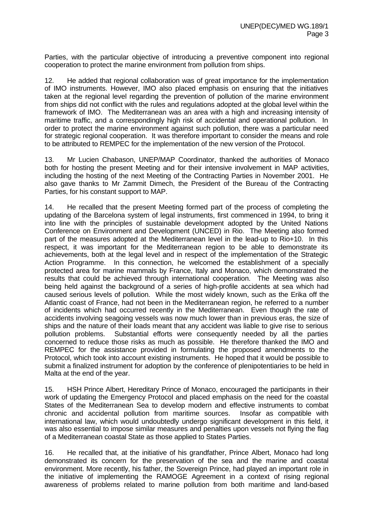Parties, with the particular objective of introducing a preventive component into regional cooperation to protect the marine environment from pollution from ships.

12. He added that regional collaboration was of great importance for the implementation of IMO instruments. However, IMO also placed emphasis on ensuring that the initiatives taken at the regional level regarding the prevention of pollution of the marine environment from ships did not conflict with the rules and regulations adopted at the global level within the framework of IMO. The Mediterranean was an area with a high and increasing intensity of maritime traffic, and a correspondingly high risk of accidental and operational pollution. In order to protect the marine environment against such pollution, there was a particular need for strategic regional cooperation. It was therefore important to consider the means and role to be attributed to REMPEC for the implementation of the new version of the Protocol.

13. Mr Lucien Chabason, UNEP/MAP Coordinator, thanked the authorities of Monaco both for hosting the present Meeting and for their intensive involvement in MAP activities, including the hosting of the next Meeting of the Contracting Parties in November 2001. He also gave thanks to Mr Zammit Dimech, the President of the Bureau of the Contracting Parties, for his constant support to MAP.

14. He recalled that the present Meeting formed part of the process of completing the updating of the Barcelona system of legal instruments, first commenced in 1994, to bring it into line with the principles of sustainable development adopted by the United Nations Conference on Environment and Development (UNCED) in Rio. The Meeting also formed part of the measures adopted at the Mediterranean level in the lead-up to Rio+10. In this respect, it was important for the Mediterranean region to be able to demonstrate its achievements, both at the legal level and in respect of the implementation of the Strategic Action Programme. In this connection, he welcomed the establishment of a specially protected area for marine mammals by France, Italy and Monaco, which demonstrated the results that could be achieved through international cooperation. The Meeting was also being held against the background of a series of high-profile accidents at sea which had caused serious levels of pollution. While the most widely known, such as the Erika off the Atlantic coast of France, had not been in the Mediterranean region, he referred to a number of incidents which had occurred recently in the Mediterranean. Even though the rate of accidents involving seagoing vessels was now much lower than in previous eras, the size of ships and the nature of their loads meant that any accident was liable to give rise to serious pollution problems. Substantial efforts were consequently needed by all the parties concerned to reduce those risks as much as possible. He therefore thanked the IMO and REMPEC for the assistance provided in formulating the proposed amendments to the Protocol, which took into account existing instruments. He hoped that it would be possible to submit a finalized instrument for adoption by the conference of plenipotentiaries to be held in Malta at the end of the year.

15. HSH Prince Albert, Hereditary Prince of Monaco, encouraged the participants in their work of updating the Emergency Protocol and placed emphasis on the need for the coastal States of the Mediterranean Sea to develop modern and effective instruments to combat chronic and accidental pollution from maritime sources. Insofar as compatible with international law, which would undoubtedly undergo significant development in this field, it was also essential to impose similar measures and penalties upon vessels not flying the flag of a Mediterranean coastal State as those applied to States Parties.

16. He recalled that, at the initiative of his grandfather, Prince Albert, Monaco had long demonstrated its concern for the preservation of the sea and the marine and coastal environment. More recently, his father, the Sovereign Prince, had played an important role in the initiative of implementing the RAMOGE Agreement in a context of rising regional awareness of problems related to marine pollution from both maritime and land-based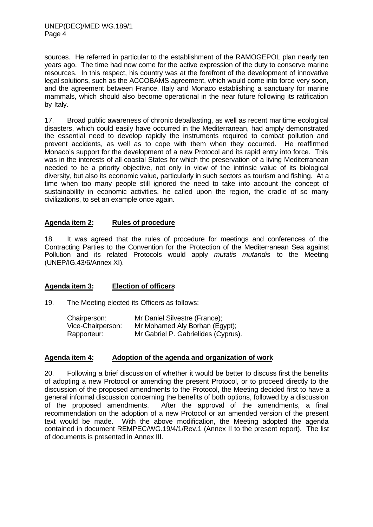sources. He referred in particular to the establishment of the RAMOGEPOL plan nearly ten years ago. The time had now come for the active expression of the duty to conserve marine resources. In this respect, his country was at the forefront of the development of innovative legal solutions, such as the ACCOBAMS agreement, which would come into force very soon, and the agreement between France, Italy and Monaco establishing a sanctuary for marine mammals, which should also become operational in the near future following its ratification by Italy.

17. Broad public awareness of chronic deballasting, as well as recent maritime ecological disasters, which could easily have occurred in the Mediterranean, had amply demonstrated the essential need to develop rapidly the instruments required to combat pollution and prevent accidents, as well as to cope with them when they occurred. He reaffirmed Monaco's support for the development of a new Protocol and its rapid entry into force. This was in the interests of all coastal States for which the preservation of a living Mediterranean needed to be a priority objective, not only in view of the intrinsic value of its biological diversity, but also its economic value, particularly in such sectors as tourism and fishing. At a time when too many people still ignored the need to take into account the concept of sustainability in economic activities, he called upon the region, the cradle of so many civilizations, to set an example once again.

### **Agenda item 2: Rules of procedure**

18. It was agreed that the rules of procedure for meetings and conferences of the Contracting Parties to the Convention for the Protection of the Mediterranean Sea against Pollution and its related Protocols would apply *mutatis mutandis* to the Meeting (UNEP/IG.43/6/Annex XI).

### **Agenda item 3: Election of officers**

19. The Meeting elected its Officers as follows:

| Chairperson:      | Mr Daniel Silvestre (France);       |
|-------------------|-------------------------------------|
| Vice-Chairperson: | Mr Mohamed Aly Borhan (Egypt);      |
| Rapporteur:       | Mr Gabriel P. Gabrielides (Cyprus). |

### **Agenda item 4: Adoption of the agenda and organization of work**

20. Following a brief discussion of whether it would be better to discuss first the benefits of adopting a new Protocol or amending the present Protocol, or to proceed directly to the discussion of the proposed amendments to the Protocol, the Meeting decided first to have a general informal discussion concerning the benefits of both options, followed by a discussion of the proposed amendments. After the approval of the amendments, a final recommendation on the adoption of a new Protocol or an amended version of the present text would be made. With the above modification, the Meeting adopted the agenda contained in document REMPEC/WG.19/4/1/Rev.1 (Annex II to the present report). The list of documents is presented in Annex III.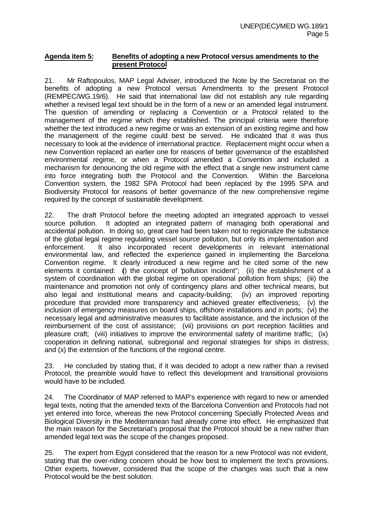### **Agenda item 5: Benefits of adopting a new Protocol versus amendments to the present Protocol**

21. Mr Raftopoulos, MAP Legal Adviser, introduced the Note by the Secretariat on the benefits of adopting a new Protocol versus Amendments to the present Protocol (REMPEC/WG.19/6). He said that international law did not establish any rule regarding whether a revised legal text should be in the form of a new or an amended legal instrument. The question of amending or replacing a Convention or a Protocol related to the management of the regime which they established. The principal criteria were therefore whether the text introduced a new regime or was an extension of an existing regime and how the management of the regime could best be served. He indicated that it was thus necessary to look at the evidence of international practice. Replacement might occur when a new Convention replaced an earlier one for reasons of better governance of the established environmental regime, or when a Protocol amended a Convention and included a mechanism for denouncing the old regime with the effect that a single new instrument came into force integrating both the Protocol and the Convention. Within the Barcelona Convention system, the 1982 SPA Protocol had been replaced by the 1995 SPA and Biodiversity Protocol for reasons of better governance of the new comprehensive regime required by the concept of sustainable development.

22. The draft Protocol before the meeting adopted an integrated approach to vessel source pollution. It adopted an integrated pattern of managing both operational and accidental pollution. In doing so, great care had been taken not to regionalize the substance of the global legal regime regulating vessel source pollution, but only its implementation and enforcement. It also incorporated recent developments in relevant international environmental law, and reflected the experience gained in implementing the Barcelona Convention regime. It clearly introduced a new regime and he cited some of the new elements it contained: (i) the concept of 'pollution incident"; (ii) the establishment of a system of coordination with the global regime on operational pollution from ships; (iii) the maintenance and promotion not only of contingency plans and other technical means, but also legal and institutional means and capacity-building; (iv) an improved reporting procedure that provided more transparency and achieved greater effectiveness; (v) the inclusion of emergency measures on board ships, offshore installations and in ports; (vi) the necessary legal and administrative measures to facilitate assistance, and the inclusion of the reimbursement of the cost of assistance; (vii) provisions on port reception facilities and pleasure craft; (viii) initiatives to improve the environmental safety of maritime traffic; (ix) cooperation in defining national, subregional and regional strategies for ships in distress; and (x) the extension of the functions of the regional centre.

23. He concluded by stating that, if it was decided to adopt a new rather than a revised Protocol, the preamble would have to reflect this development and transitional provisions would have to be included.

24. The Coordinator of MAP referred to MAP's experience with regard to new or amended legal texts, noting that the amended texts of the Barcelona Convention and Protocols had not yet entered into force, whereas the new Protocol concerning Specially Protected Areas and Biological Diversity in the Mediterranean had already come into effect. He emphasized that the main reason for the Secretariat's proposal that the Protocol should be a new rather than amended legal text was the scope of the changes proposed.

25. The expert from Egypt considered that the reason for a new Protocol was not evident, stating that the over-riding concern should be how best to implement the text's provisions. Other experts, however, considered that the scope of the changes was such that a new Protocol would be the best solution.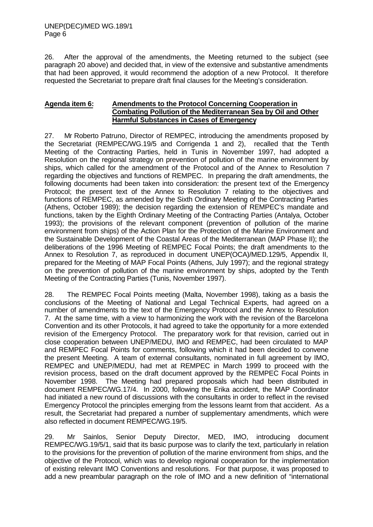26. After the approval of the amendments, the Meeting returned to the subject (see paragraph 20 above) and decided that, in view of the extensive and substantive amendments that had been approved, it would recommend the adoption of a new Protocol. It therefore requested the Secretariat to prepare draft final clauses for the Meeting's consideration.

### **Agenda item 6: Amendments to the Protocol Concerning Cooperation in Combating Pollution of the Mediterranean Sea by Oil and Other Harmful Substances in Cases of Emergency**

27. Mr Roberto Patruno, Director of REMPEC, introducing the amendments proposed by the Secretariat (REMPEC/WG.19/5 and Corrigenda 1 and 2), recalled that the Tenth Meeting of the Contracting Parties, held in Tunis in November 1997, had adopted a Resolution on the regional strategy on prevention of pollution of the marine environment by ships, which called for the amendment of the Protocol and of the Annex to Resolution 7 regarding the objectives and functions of REMPEC. In preparing the draft amendments, the following documents had been taken into consideration: the present text of the Emergency Protocol; the present text of the Annex to Resolution 7 relating to the objectives and functions of REMPEC, as amended by the Sixth Ordinary Meeting of the Contracting Parties (Athens, October 1989); the decision regarding the extension of REMPEC's mandate and functions, taken by the Eighth Ordinary Meeting of the Contracting Parties (Antalya, October 1993); the provisions of the relevant component (prevention of pollution of the marine environment from ships) of the Action Plan for the Protection of the Marine Environment and the Sustainable Development of the Coastal Areas of the Mediterranean (MAP Phase II); the deliberations of the 1996 Meeting of REMPEC Focal Points; the draft amendments to the Annex to Resolution 7, as reproduced in document UNEP(OCA)/MED.129/5, Appendix II, prepared for the Meeting of MAP Focal Points (Athens, July 1997); and the regional strategy on the prevention of pollution of the marine environment by ships, adopted by the Tenth Meeting of the Contracting Parties (Tunis, November 1997).

28. The REMPEC Focal Points meeting (Malta, November 1998), taking as a basis the conclusions of the Meeting of National and Legal Technical Experts, had agreed on a number of amendments to the text of the Emergency Protocol and the Annex to Resolution 7. At the same time, with a view to harmonizing the work with the revision of the Barcelona Convention and its other Protocols, it had agreed to take the opportunity for a more extended revision of the Emergency Protocol. The preparatory work for that revision, carried out in close cooperation between UNEP/MEDU, IMO and REMPEC, had been circulated to MAP and REMPEC Focal Points for comments, following which it had been decided to convene the present Meeting. A team of external consultants, nominated in full agreement by IMO, REMPEC and UNEP/MEDU, had met at REMPEC in March 1999 to proceed with the revision process, based on the draft document approved by the REMPEC Focal Points in November 1998. The Meeting had prepared proposals which had been distributed in document REMPEC/WG.17/4. In 2000, following the Erika accident, the MAP Coordinator had initiated a new round of discussions with the consultants in order to reflect in the revised Emergency Protocol the principles emerging from the lessons learnt from that accident. As a result, the Secretariat had prepared a number of supplementary amendments, which were also reflected in document REMPEC/WG.19/5.

29. Mr Sainlos, Senior Deputy Director, MED, IMO, introducing document REMPEC/WG.19/5/1, said that its basic purpose was to clarify the text, particularly in relation to the provisions for the prevention of pollution of the marine environment from ships, and the objective of the Protocol, which was to develop regional cooperation for the implementation of existing relevant IMO Conventions and resolutions. For that purpose, it was proposed to add a new preambular paragraph on the role of IMO and a new definition of "international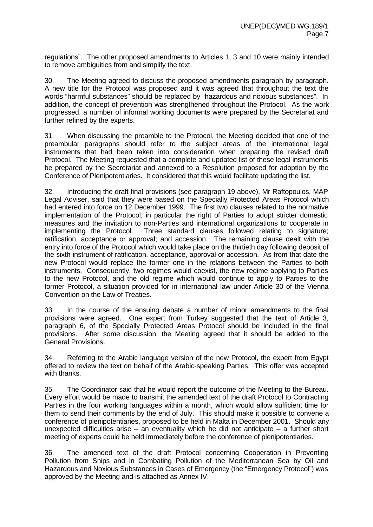regulations". The other proposed amendments to Articles 1, 3 and 10 were mainly intended to remove ambiguities from and simplify the text.

30. The Meeting agreed to discuss the proposed amendments paragraph by paragraph. A new title for the Protocol was proposed and it was agreed that throughout the text the words "harmful substances" should be replaced by "hazardous and noxious substances". In addition, the concept of prevention was strengthened throughout the Protocol. As the work progressed, a number of informal working documents were prepared by the Secretariat and further refined by the experts.

31. When discussing the preamble to the Protocol, the Meeting decided that one of the preambular paragraphs should refer to the subject areas of the international legal instruments that had been taken into consideration when preparing the revised draft Protocol. The Meeting requested that a complete and updated list of these legal instruments be prepared by the Secretariat and annexed to a Resolution proposed for adoption by the Conference of Plenipotentiaries. It considered that this would facilitate updating the list.

32. Introducing the draft final provisions (see paragraph 19 above), Mr Raftopoulos, MAP Legal Adviser, said that they were based on the Specially Protected Areas Protocol which had entered into force on 12 December 1999. The first two clauses related to the normative implementation of the Protocol, in particular the right of Parties to adopt stricter domestic measures and the invitation to non-Parties and international organizations to cooperate in implementing the Protocol. Three standard clauses followed relating to signature; ratification, acceptance or approval; and accession. The remaining clause dealt with the entry into force of the Protocol which would take place on the thirtieth day following deposit of the sixth instrument of ratification, acceptance, approval or accession. As from that date the new Protocol would replace the former one in the relations between the Parties to both instruments. Consequently, two regimes would coexist, the new regime applying to Parties to the new Protocol, and the old regime which would continue to apply to Parties to the former Protocol, a situation provided for in international law under Article 30 of the Vienna Convention on the Law of Treaties.

33. In the course of the ensuing debate a number of minor amendments to the final provisions were agreed. One expert from Turkey suggested that the text of Article 3, paragraph 6, of the Specially Protected Areas Protocol should be included in the final provisions. After some discussion, the Meeting agreed that it should be added to the General Provisions.

34. Referring to the Arabic language version of the new Protocol, the expert from Egypt offered to review the text on behalf of the Arabic-speaking Parties. This offer was accepted with thanks.

35. The Coordinator said that he would report the outcome of the Meeting to the Bureau. Every effort would be made to transmit the amended text of the draft Protocol to Contracting Parties in the four working languages within a month, which would allow sufficient time for them to send their comments by the end of July. This should make it possible to convene a conference of plenipotentiaries, proposed to be held in Malta in December 2001. Should any unexpected difficulties arise – an eventuality which he did not anticipate – a further short meeting of experts could be held immediately before the conference of plenipotentiaries.

36. The amended text of the draft Protocol concerning Cooperation in Preventing Pollution from Ships and in Combating Pollution of the Mediterranean Sea by Oil and Hazardous and Noxious Substances in Cases of Emergency (the "Emergency Protocol") was approved by the Meeting and is attached as Annex IV.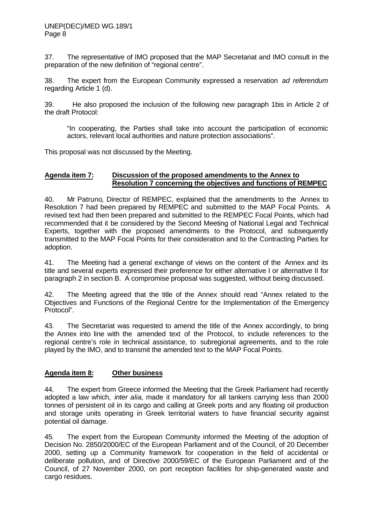37. The representative of IMO proposed that the MAP Secretariat and IMO consult in the preparation of the new definition of "regional centre".

38. The expert from the European Community expressed a reservation *ad referendum* regarding Article 1 (d).

39. He also proposed the inclusion of the following new paragraph 1bis in Article 2 of the draft Protocol:

"In cooperating, the Parties shall take into account the participation of economic actors, relevant local authorities and nature protection associations".

This proposal was not discussed by the Meeting.

### **Agenda item 7: Discussion of the proposed amendments to the Annex to Resolution 7 concerning the objectives and functions of REMPEC**

40. Mr Patruno, Director of REMPEC, explained that the amendments to the Annex to Resolution 7 had been prepared by REMPEC and submitted to the MAP Focal Points. A revised text had then been prepared and submitted to the REMPEC Focal Points, which had recommended that it be considered by the Second Meeting of National Legal and Technical Experts, together with the proposed amendments to the Protocol, and subsequently transmitted to the MAP Focal Points for their consideration and to the Contracting Parties for adoption.

41. The Meeting had a general exchange of views on the content of the Annex and its title and several experts expressed their preference for either alternative I or alternative II for paragraph 2 in section B. A compromise proposal was suggested, without being discussed.

42. The Meeting agreed that the title of the Annex should read "Annex related to the Objectives and Functions of the Regional Centre for the Implementation of the Emergency Protocol".

43. The Secretariat was requested to amend the title of the Annex accordingly, to bring the Annex into line with the amended text of the Protocol, to include references to the regional centre's role in technical assistance, to subregional agreements, and to the role played by the IMO, and to transmit the amended text to the MAP Focal Points.

### **Agenda item 8: Other business**

44. The expert from Greece informed the Meeting that the Greek Parliament had recently adopted a law which, *inter alia*, made it mandatory for all tankers carrying less than 2000 tonnes of persistent oil in its cargo and calling at Greek ports and any floating oil production and storage units operating in Greek territorial waters to have financial security against potential oil damage.

45. The expert from the European Community informed the Meeting of the adoption of Decision No. 2850/2000/EC of the European Parliament and of the Council, of 20 December 2000, setting up a Community framework for cooperation in the field of accidental or deliberate pollution, and of Directive 2000/59/EC of the European Parliament and of the Council, of 27 November 2000, on port reception facilities for ship-generated waste and cargo residues.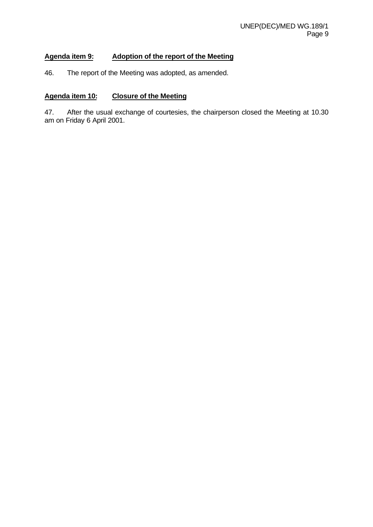### **Agenda item 9: Adoption of the report of the Meeting**

46. The report of the Meeting was adopted, as amended.

### **Agenda item 10: Closure of the Meeting**

47. After the usual exchange of courtesies, the chairperson closed the Meeting at 10.30 am on Friday 6 April 2001.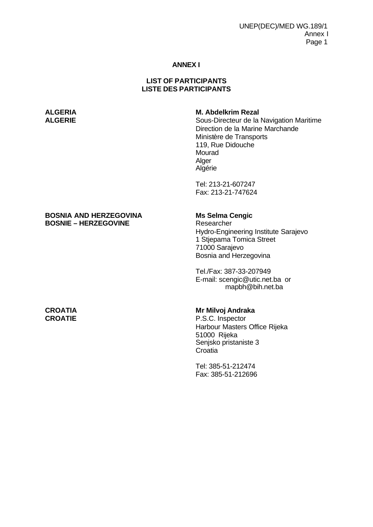### **ANNEX I**

### **LIST OF PARTICIPANTS LISTE DES PARTICIPANTS**

## **ALGERIA M. Abdelkrim Rezal**

Sous-Directeur de la Navigation Maritime Direction de la Marine Marchande Ministère de Transports 119, Rue Didouche Mourad Alger Algérie

Tel: 213-21-607247 Fax: 213-21-747624

### **BOSNIA AND HERZEGOVINA Ms Selma Cengic**

**BOSNIE – HERZEGOVINE** Researcher Hydro-Engineering Institute Sarajevo 1 Stjepama Tomica Street 71000 Sarajevo Bosnia and Herzegovina

> Tel./Fax: 387-33-207949 E-mail: scengic@utic.net.ba or mapbh@bih.net.ba

P.S.C. Inspector Harbour Masters Office Rijeka 51000 Rijeka Senjsko pristaniste 3 **Croatia** 

Tel: 385-51-212474 Fax: 385-51-212696

# **CROATIA Mr Milvoj Andraka**<br> **CROATIE Mr Milvoj Andraka**<br>
P.S.C. Inspector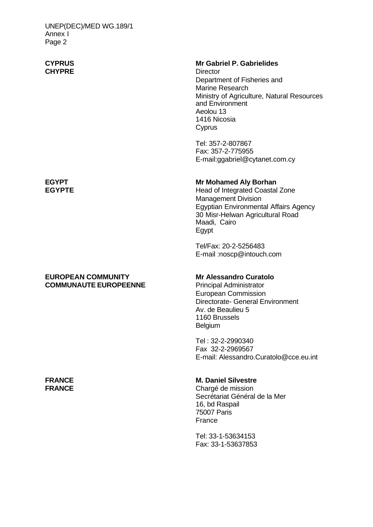UNEP(DEC)/MED WG.189/1 Annex I Page 2

### **EUROPEAN COMMUNITY**<br> **COMMUNAUTE EUROPEENNE**<br> **EUROPEENNE** Principal Administrator **COMMUNAUTE EUROPEENNE**

### **CYPRUS Mr Gabriel P. Gabrielides**

**CHYPRE** Director Department of Fisheries and Marine Research Ministry of Agriculture, Natural Resources and Environment Aeolou 13 1416 Nicosia **Cyprus** 

> Tel: 357-2-807867 Fax: 357-2-775955 E-mail:ggabriel@cytanet.com.cy

### **EGYPT Mr Mohamed Aly Borhan**

**EGYPTE Head of Integrated Coastal Zone** Management Division Egyptian Environmental Affairs Agency 30 Misr-Helwan Agricultural Road Maadi, Cairo Egypt

> Tel/Fax: 20-2-5256483 E-mail :noscp@intouch.com

European Commission Directorate- General Environment Av. de Beaulieu 5 1160 Brussels **Belgium** 

Tel : 32-2-2990340 Fax 32-2-2969567 E-mail: Alessandro.Curatolo@cce.eu.int

### **FRANCE M. Daniel Silvestre**

**FRANCE** Chargé de mission Secrétariat Général de la Mer 16, bd Raspail 75007 Paris France

> Tel: 33-1-53634153 Fax: 33-1-53637853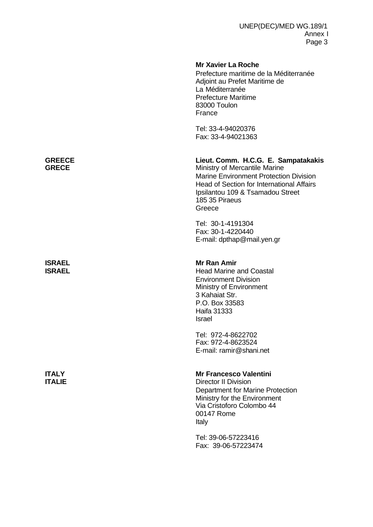Prefecture maritime de la Méditerranée Adjoint au Prefet Maritime de La Méditerranée Prefecture Maritime 83000 Toulon France

Tel: 33-4-94020376 Fax: 33-4-94021363

## **GREECE Lieut. Comm. H.C.G. E. Sampatakakis**

**Ministry of Mercantile Marine** Marine Environment Protection Division Head of Section for International Affairs Ipsilantou 109 & Tsamadou Street 185 35 Piraeus Greece

Tel: 30-1-4191304 Fax: 30-1-4220440 E-mail: dpthap@mail.yen.gr

### **ISRAEL Mr Ran Amir**

**ISRAEL ISRAEL ISRAEL ISRAEL** Environment Division Ministry of Environment 3 Kahaiat Str. P.O. Box 33583 Haifa 31333 Israel

> Tel: 972-4-8622702 Fax: 972-4-8623524 E-mail: ramir@shani.net

## **ITALY Mr Francesco Valentini**

**Director II Division** Department for Marine Protection Ministry for the Environment Via Cristoforo Colombo 44 00147 Rome Italy

Tel: 39-06-57223416 Fax: 39-06-57223474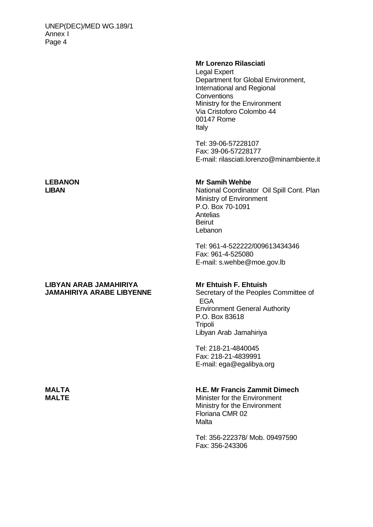### **Mr Lorenzo Rilasciati**

Legal Expert Department for Global Environment, International and Regional **Conventions** Ministry for the Environment Via Cristoforo Colombo 44 00147 Rome Italy

Tel: 39-06-57228107 Fax: 39-06-57228177 E-mail: rilasciati.lorenzo@minambiente.it

### **LEBANON Mr Samih Wehbe**

**LIBAN National Coordinator Oil Spill Cont. Plan** Ministry of Environment P.O. Box 70-1091 Antelias Beirut Lebanon

> Tel: 961-4-522222/009613434346 Fax: 961-4-525080 E-mail: s.wehbe@moe.gov.lb

Secretary of the Peoples Committee of EGA Environment General Authority P.O. Box 83618 **Tripoli** Libyan Arab Jamahiriya

Tel: 218-21-4840045 Fax: 218-21-4839991 E-mail: ega@egalibya.org

## **MALTA H.E. Mr Francis Zammit Dimech**

**Minister for the Environment** Ministry for the Environment Floriana CMR 02 **Malta** 

Tel: 356-222378/ Mob. 09497590 Fax: 356-243306

# **LIBYAN ARAB JAMAHIRIYA Mr Ehtuish F. Ehtuish**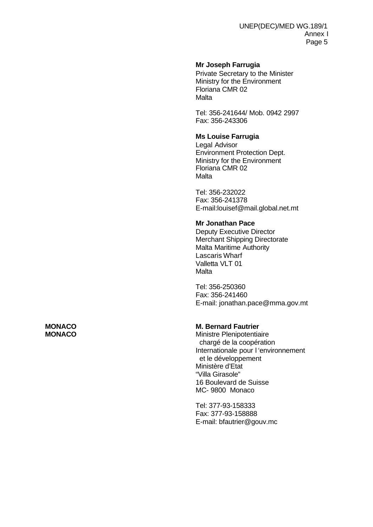### **Mr Joseph Farrugia**

Private Secretary to the Minister Ministry for the Environment Floriana CMR 02 Malt a

Tel: 356-241644/ Mob. 0942 2997 Fax: 356-243306

### **Ms Louise Farrugia**

Legal Advisor Environment Protection Dept. Ministry for the Environment Floriana CMR 02 Malta

Tel: 356-232022 Fax: 356-241378 E-mail:louisef@mail.global.net.mt

### **Mr Jonathan Pace**

Deputy Executive Director Merchant Shipping Directorate Malta Maritime Authority Lascaris Wharf Valletta VLT 01 **Malta** 

Tel: 356-250360 Fax: 356-241460 E-mail: jonathan.pace@mma.gov.mt

**Ministre Plenipotentiaire**  chargé de la coopération Internationale pour l 'environnement et le développement Ministère d'Etat "Villa Girasole" 16 Boulevard de Suisse MC- 9800 Monaco

Tel: 377-93-158333 Fax: 377-93-158888 E-mail: bfautrier@gouv.mc

**MONACO M. Bernard Fautrier**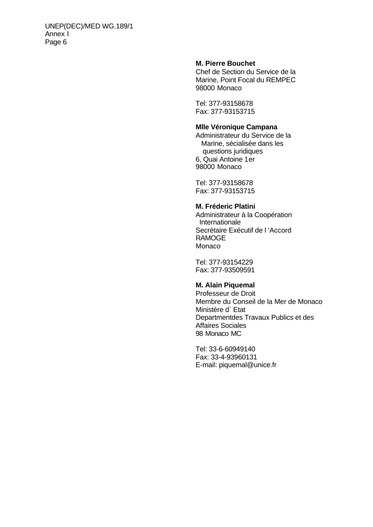UNEP(DEC)/MED WG.189/1 Annex I Page 6

### **M. Pierre Bouchet**

Chef de Section du Service de la Marine, Point Focal du REMPEC 98000 Monaco

Tel: 377-93158678 Fax: 377-93153715

### **Mlle Véronique Campana**

Administrateur du Service de la Marine, sécialisée dans les questions juridiques 6, Quai Antoine 1er 98000 Monaco

Tel: 377-93158678 Fax: 377-93153715

### **M. Fréderic Platini**

Administrateur à la Coopération Internationale Secrétaire Exécutif de l 'Accord RAMOGE Monaco

Tel: 377-93154229 Fax: 377-93509591

### **M. Alain Piquemal**

Professeur de Droit Membre du Conseil de la Mer de Monaco Ministère d` Etat Departmentdes Travaux Publics et des Affaires Sociales 98 Monaco MC

Tel: 33-6-60949140 Fax: 33-4-93960131 E-mail: piquemal@unice.fr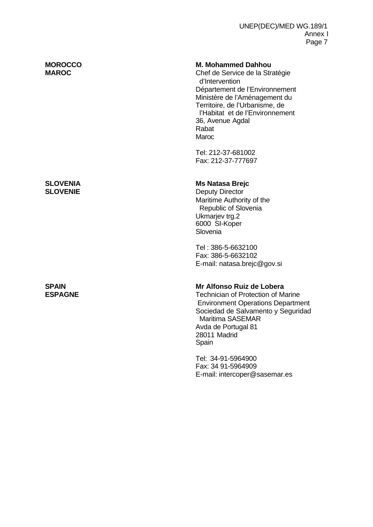### **MOROCCO M. Mohammed Dahhou**

**MAROC** Chef de Service de la Stratégie d'Intervention Département de l'Environnement Ministère de l'Aménagement du Territoire, de l'Urbanisme, de l'Habitat et de l'Environnement 36, Avenue Agdal Rabat Maroc

> Tel: 212-37-681002 Fax: 212-37-777697

### **SLOVENIA Ms Natasa Brejc**

**SLOVENIE** Deputy Director Maritime Authority of the Republic of Slovenia Ukmarjev trg.2 6000 SI-Koper Slovenia

> Tel : 386-5-6632100 Fax: 386-5-6632102 E-mail: natasa.brejc@gov.si

## **SPAIN Mr Alfonso Ruiz de Lobera**<br> **ESPAGNE CONSTRUCTER TECHNICIAL TECHNICIAL OF METALLICIAL CONSUMING TECHNICIAL OF METALLICIAL CONSUMING TECHNICIAL CONSUMING TECHNICIAL CONSUMING TECHNICIAL CONSUMING TECHNICIAL CONSU**

**Technician of Protection of Marine**  Environment Operations Department Sociedad de Salvamento y Seguridad Maritima SASEMAR Avda de Portugal 81 28011 Madrid Spain

Tel: 34-91-5964900 Fax: 34 91-5964909 E-mail: intercoper@sasemar.es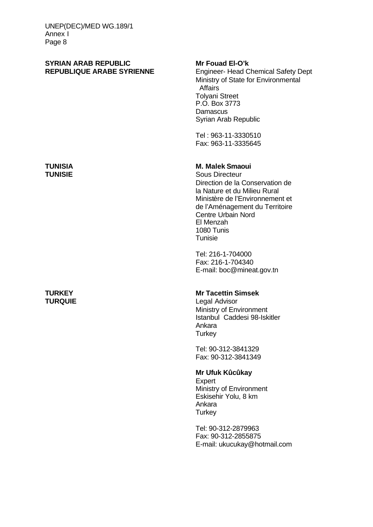# **SYRIAN ARAB REPUBLIC Mr Fouad El-O'k**

**REPUBLIQUE ARABE SYRIENNE** Engineer- Head Chemical Safety Dept Ministry of State for Environmental Affairs Tolyani Street P.O. Box 3773 **Damascus** Syrian Arab Republic

> Tel : 963-11-3330510 Fax: 963-11-3335645

### **TUNISIA M. Malek Smaoui**

**TUNISIE** Sous Directeur Direction de la Conservation de la Nature et du Milieu Rural Ministère de l'Environnement et de l'Aménagement du Territoire Centre Urbain Nord El Menzah 1080 Tunis Tunisie

> Tel: 216-1-704000 Fax: 216-1-704340 E-mail: boc@mineat.gov.tn

## **TURKEY Mr Tacettin Simsek**

Legal Advisor Ministry of Environment Istanbul Caddesi 98-Iskitler Ankara **Turkey** 

Tel: 90-312-3841329 Fax: 90-312-3841349

### **Mr Ufuk Kûcûkay**

**Expert** Ministry of Environment Eskisehir Yolu, 8 km Ankara **Turkey** 

Tel: 90-312-2879963 Fax: 90-312-2855875 E-mail: ukucukay@hotmail.com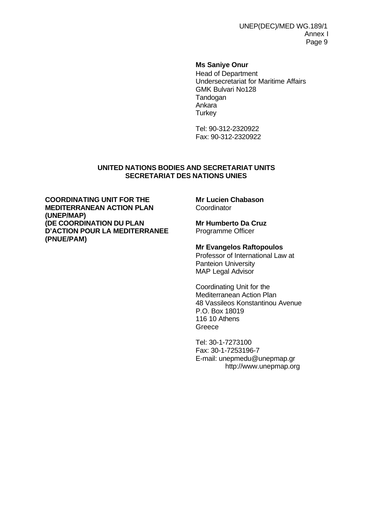### **Ms Saniye Onur**

Head of Department Undersecretariat for Maritime Affairs GMK Bulvari No128 Tandogan Ankara **Turkey** 

Tel: 90-312-2320922 Fax: 90-312-2320922

### **UNITED NATIONS BODIES AND SECRETARIAT UNITS SECRETARIAT DES NATIONS UNIES**

**COORDINATING UNIT FOR THE Mr Lucien Chabason MEDITERRANEAN ACTION PLAN** Coordinator **(UNEP/MAP) (DE COORDINATION DU PLAN Mr Humberto Da Cruz D'ACTION POUR LA MEDITERRANEE** Programme Officer **(PNUE/PAM)**

### **Mr Evangelos Raftopoulos**

Professor of International Law at Panteion University MAP Legal Advisor

Coordinating Unit for the Mediterranean Action Plan 48 Vassileos Konstantinou Avenue P.O. Box 18019 116 10 Athens **Greece** 

Tel: 30-1-7273100 Fax: 30-1-7253196-7 E-mail: unepmedu@unepmap.gr http://www.unepmap.org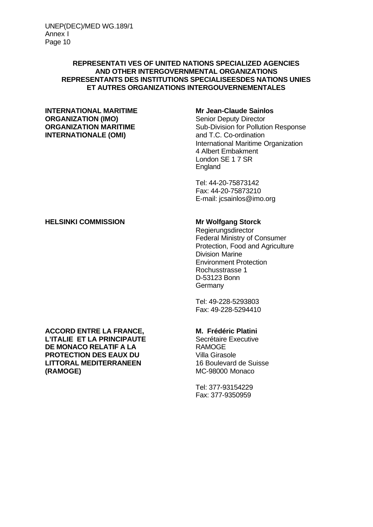### **REPRESENTATI VES OF UNITED NATIONS SPECIALIZED AGENCIES AND OTHER INTERGOVERNMENTAL ORGANIZATIONS REPRESENTANTS DES INSTITUTIONS SPECIALISEESDES NATIONS UNIES ET AUTRES ORGANIZATIONS INTERGOUVERNEMENTALES**

### **INTERNATIONAL MARITIME MR Jean-Claude Sainlos ORGANIZATION (IMO)** Senior Deputy Director **INTERNATIONALE (OMI)** and T.C. Co-ordination

**ORGANIZATION MARITIME** Sub-Division for Pollution Response International Maritime Organization 4 Albert Embakment London SE 1 7 SR England

> Tel: 44-20-75873142 Fax: 44-20-75873210 E-mail: jcsainlos@imo.org

### **HELSINKI COMMISSION Mr Wolfgang Storck**

**ACCORD ENTRE LA FRANCE, M. Frédéric Platini** L'ITALIE ET LA PRINCIPAUTE<br>
DE MONACO RELATIF A LA **ELECTE EN PRAMOGE DE MONACO RELATIF A LA PROTECTION DES EAUX DU** Villa Girasole<br> **LITTORAL MEDITERRANEEN** 16 Boulevard de Suisse **LITTORAL MEDITERRANEEN (RAMOGE)** MC-98000 Monaco

**Regierungsdirector** Federal Ministry of Consumer Protection, Food and Agriculture Division Marine Environment Protection Rochusstrasse 1 D-53123 Bonn Germany

Tel: 49-228-5293803 Fax: 49-228-5294410

Tel: 377-93154229 Fax: 377-9350959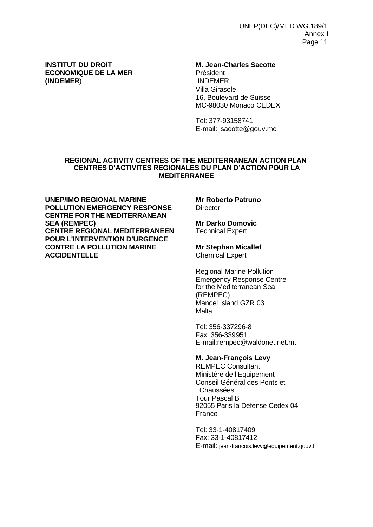### **INSTITUT DU DROIT** M. Jean-Charles Sacotte **ECONOMIQUE DE LA MER** Président **(INDEMER**) INDEMER

Villa Girasole 16, Boulevard de Suisse MC-98030 Monaco CEDEX

Tel: 377-93158741 E-mail: jsacotte@gouv.mc

### **REGIONAL ACTIVITY CENTRES OF THE MEDITERRANEAN ACTION PLAN CENTRES D'ACTIVITES REGIONALES DU PLAN D'ACTION POUR LA MEDITERRANEE**

**UNEP/IMO REGIONAL MARINE Mr Roberto Patruno POLLUTION EMERGENCY RESPONSE** Director **CENTRE FOR THE MEDITERRANEAN SEA (REMPEC) Mr Darko Domovic CENTRE REGIONAL MEDITERRANEEN** Technical Expert **POUR L'INTERVENTION D'URGENCE CONTRE LA POLLUTION MARINE Mr Stephan Micallef ACCIDENTELLE** Chemical Expert

Regional Marine Pollution Emergency Response Centre for the Mediterranean Sea (REMPEC) Manoel Island GZR 03 Malta

Tel: 356-337296-8 Fax: 356-339951 E-mail:rempec@waldonet.net.mt

### **M. Jean-François Levy**

REMPEC Consultant Ministère de l'Equipement Conseil Général des Ponts et Chaussées Tour Pascal B 92055 Paris la Défense Cedex 04 France

Tel: 33-1-40817409 Fax: 33-1-40817412 E-mail: jean-francois.levy@equipement.gouv.fr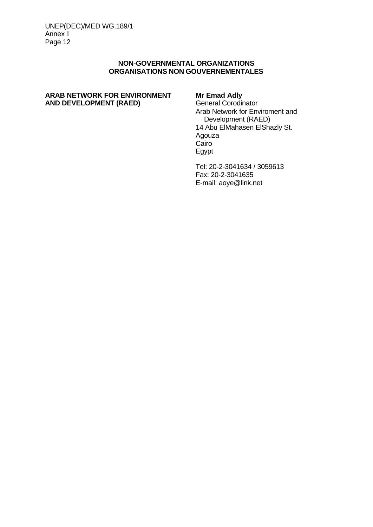### **NON-GOVERNMENTAL ORGANIZATIONS ORGANISATIONS NON GOUVERNEMENTALES**

### **ARAB NETWORK FOR ENVIRONMENT Mr Emad Adly<br>
AND DEVELOPMENT (RAED) General Corodinator AND DEVELOPMENT (RAED)**

Arab Network for Enviroment and Development (RAED) 14 Abu ElMahasen ElShazly St. Agouza Cairo Egypt

Tel: 20-2-3041634 / 3059613 Fax: 20-2-3041635 E-mail: aoye@link.net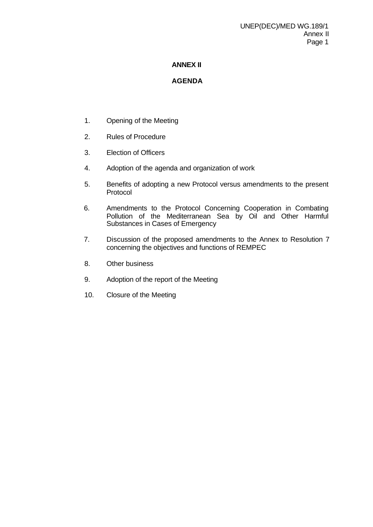### **ANNEX II**

### **AGENDA**

- 1. Opening of the Meeting
- 2. Rules of Procedure
- 3. Election of Officers
- 4. Adoption of the agenda and organization of work
- 5. Benefits of adopting a new Protocol versus amendments to the present Protocol
- 6. Amendments to the Protocol Concerning Cooperation in Combating Pollution of the Mediterranean Sea by Oil and Other Harmful Substances in Cases of Emergency
- 7. Discussion of the proposed amendments to the Annex to Resolution 7 concerning the objectives and functions of REMPEC
- 8. Other business
- 9. Adoption of the report of the Meeting
- 10. Closure of the Meeting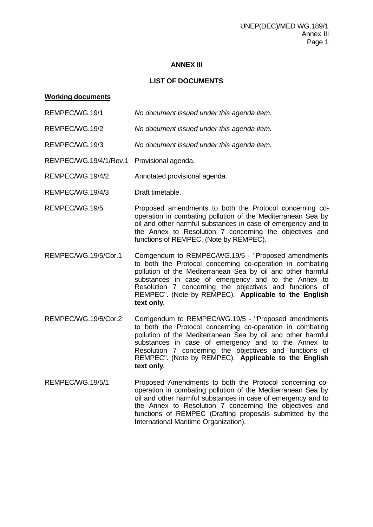### **ANNEX III**

### **LIST OF DOCUMENTS**

### **Working documents**

- REMPEC/WG.19/2 *No document issued under this agenda item.*
- REMPEC/WG.19/3 *No document issued under this agenda item.*
- REMPEC/WG.19/4/1/Rev.1 Provisional agenda.

REMPEC/WG.19/4/2 Annotated provisional agenda.

- REMPEC/WG.19/4/3 Draft timetable.
- REMPEC/WG.19/5 Proposed amendments to both the Protocol concerning cooperation in combating pollution of the Mediterranean Sea by oil and other harmful substances in case of emergency and to the Annex to Resolution 7 concerning the objectives and functions of REMPEC. (Note by REMPEC).
- REMPEC/WG.19/5/Cor.1 Corrigendum to REMPEC/WG.19/5 "Proposed amendments to both the Protocol concerning co-operation in combating pollution of the Mediterranean Sea by oil and other harmful substances in case of emergency and to the Annex to Resolution 7 concerning the objectives and functions of REMPEC". (Note by REMPEC). **Applicable to the English text only**.
- REMPEC/WG.19/5/Cor.2 Corrigendum to REMPEC/WG.19/5 "Proposed amendments to both the Protocol concerning co-operation in combating pollution of the Mediterranean Sea by oil and other harmful substances in case of emergency and to the Annex to Resolution 7 concerning the objectives and functions of REMPEC". (Note by REMPEC). **Applicable to the English text only**.
- REMPEC/WG.19/5/1 Proposed Amendments to both the Protocol concerning cooperation in combating pollution of the Mediterranean Sea by oil and other harmful substances in case of emergency and to the Annex to Resolution 7 concerning the objectives and functions of REMPEC (Drafting proposals submitted by the International Maritime Organization).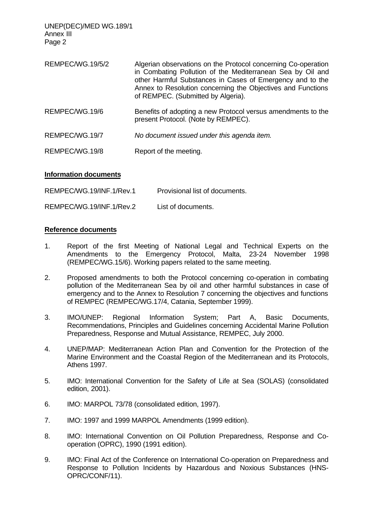UNEP(DEC)/MED WG.189/1 Annex III Page 2 REMPEC/WG.19/5/2 Algerian observations on the Protocol concerning Co-operation in Combating Pollution of the Mediterranean Sea by Oil and other Harmful Substances in Cases of Emergency and to the Annex to Resolution concerning the Objectives and Functions of REMPEC. (Submitted by Algeria). REMPEC/WG.19/6 Benefits of adopting a new Protocol versus amendments to the present Protocol. (Note by REMPEC). REMPEC/WG.19/7 *No document issued under this agenda item.* REMPEC/WG.19/8 Report of the meeting.

### **Information documents**

REMPEC/WG.19/INF.1/Rev.1 Provisional list of documents.

REMPEC/WG.19/INF.1/Rev.2 List of documents.

### **Reference documents**

- 1. Report of the first Meeting of National Legal and Technical Experts on the Amendments to the Emergency Protocol, Malta, 23-24 November 1998 (REMPEC/WG.15/6). Working papers related to the same meeting.
- 2. Proposed amendments to both the Protocol concerning co-operation in combating pollution of the Mediterranean Sea by oil and other harmful substances in case of emergency and to the Annex to Resolution 7 concerning the objectives and functions of REMPEC (REMPEC/WG.17/4, Catania, September 1999).
- 3. IMO/UNEP: Regional Information System; Part A, Basic Documents, Recommendations, Principles and Guidelines concerning Accidental Marine Pollution Preparedness, Response and Mutual Assistance, REMPEC, July 2000.
- 4. UNEP/MAP: Mediterranean Action Plan and Convention for the Protection of the Marine Environment and the Coastal Region of the Mediterranean and its Protocols, Athens 1997.
- 5. IMO: International Convention for the Safety of Life at Sea (SOLAS) (consolidated edition, 2001).
- 6. IMO: MARPOL 73/78 (consolidated edition, 1997).
- 7. IMO: 1997 and 1999 MARPOL Amendments (1999 edition).
- 8. IMO: International Convention on Oil Pollution Preparedness, Response and Cooperation (OPRC), 1990 (1991 edition).
- 9. IMO: Final Act of the Conference on International Co-operation on Preparedness and Response to Pollution Incidents by Hazardous and Noxious Substances (HNS-OPRC/CONF/11).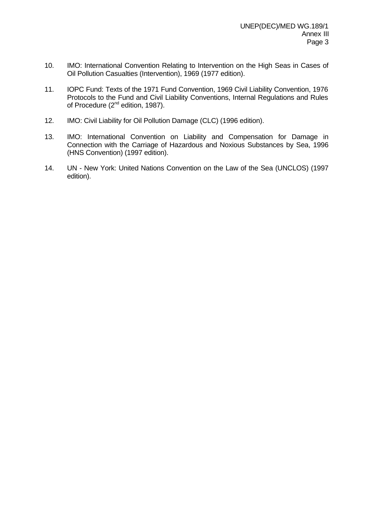- 10. IMO: International Convention Relating to Intervention on the High Seas in Cases of Oil Pollution Casualties (Intervention), 1969 (1977 edition).
- 11. IOPC Fund: Texts of the 1971 Fund Convention, 1969 Civil Liability Convention, 1976 Protocols to the Fund and Civil Liability Conventions, Internal Regulations and Rules of Procedure (2<sup>nd</sup> edition, 1987).
- 12. IMO: Civil Liability for Oil Pollution Damage (CLC) (1996 edition).
- 13. IMO: International Convention on Liability and Compensation for Damage in Connection with the Carriage of Hazardous and Noxious Substances by Sea, 1996 (HNS Convention) (1997 edition).
- 14. UN New York: United Nations Convention on the Law of the Sea (UNCLOS) (1997 edition).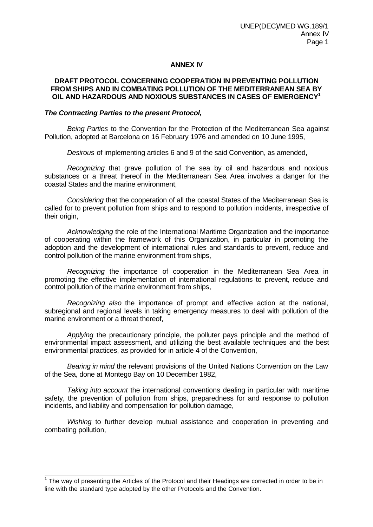### **ANNEX IV**

### **DRAFT PROTOCOL CONCERNING COOPERATION IN PREVENTING POLLUTION FROM SHIPS AND IN COMBATING POLLUTION OF THE MEDITERRANEAN SEA BY OIL AND HAZARDOUS AND NOXIOUS SUBSTANCES IN CASES OF EMERGENCY<sup>1</sup>**

### *The Contracting Parties to the present Protocol,*

*Being Parties* to the Convention for the Protection of the Mediterranean Sea against Pollution, adopted at Barcelona on 16 February 1976 and amended on 10 June 1995,

*Desirous* of implementing articles 6 and 9 of the said Convention, as amended,

*Recognizing* that grave pollution of the sea by oil and hazardous and noxious substances or a threat thereof in the Mediterranean Sea Area involves a danger for the coastal States and the marine environment,

*Considering* that the cooperation of all the coastal States of the Mediterranean Sea is called for to prevent pollution from ships and to respond to pollution incidents, irrespective of their origin,

*Acknowledging* the role of the International Maritime Organization and the importance of cooperating within the framework of this Organization, in particular in promoting the adoption and the development of international rules and standards to prevent, reduce and control pollution of the marine environment from ships,

*Recognizing* the importance of cooperation in the Mediterranean Sea Area in promoting the effective implementation of international regulations to prevent, reduce and control pollution of the marine environment from ships,

*Recognizing also* the importance of prompt and effective action at the national, subregional and regional levels in taking emergency measures to deal with pollution of the marine environment or a threat thereof.

*Applying* the precautionary principle, the polluter pays principle and the method of environmental impact assessment, and utilizing the best available techniques and the best environmental practices, as provided for in article 4 of the Convention,

*Bearing in mind* the relevant provisions of the United Nations Convention on the Law of the Sea, done at Montego Bay on 10 December 1982,

*Taking into account* the international conventions dealing in particular with maritime safety, the prevention of pollution from ships, preparedness for and response to pollution incidents, and liability and compensation for pollution damage,

*Wishing* to further develop mutual assistance and cooperation in preventing and combating pollution,

 1 The way of presenting the Articles of the Protocol and their Headings are corrected in order to be in line with the standard type adopted by the other Protocols and the Convention.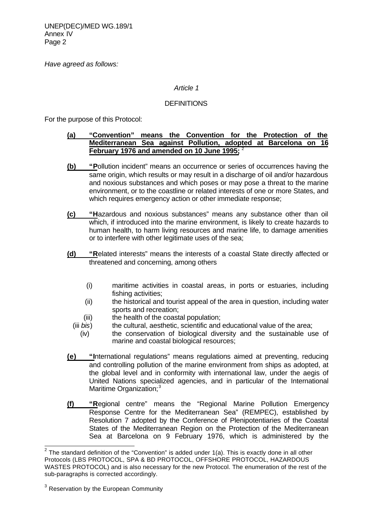UNEP(DEC)/MED WG.189/1 Annex IV Page 2

*Have agreed as follows:*

### *Article 1*

### **DEFINITIONS**

For the purpose of this Protocol:

### **(a) "Convention" means the Convention for the Protection of the Mediterranean Sea against Pollution, adopted at Barcelona on 16 February 1976 and amended on 10 June 1995;** <sup>2</sup>

- **(b) "P**ollution incident" means an occurrence or series of occurrences having the same origin, which results or may result in a discharge of oil and/or hazardous and noxious substances and which poses or may pose a threat to the marine environment, or to the coastline or related interests of one or more States, and which requires emergency action or other immediate response;
- **(c) "H**azardous and noxious substances" means any substance other than oil which, if introduced into the marine environment, is likely to create hazards to human health, to harm living resources and marine life, to damage amenities or to interfere with other legitimate uses of the sea;
- **(d) "R**elated interests" means the interests of a coastal State directly affected or threatened and concerning, among others
	- (i) maritime activities in coastal areas, in ports or estuaries, including fishing activities;
	- (ii) the historical and tourist appeal of the area in question, including water sports and recreation;
	- (iii) the health of the coastal population;
	- (iii *bis*) the cultural, aesthetic, scientific and educational value of the area;
		- (iv) the conservation of biological diversity and the sustainable use of marine and coastal biological resources;
- **(e) "I**nternational regulations" means regulations aimed at preventing, reducing and controlling pollution of the marine environment from ships as adopted, at the global level and in conformity with international law, under the aegis of United Nations specialized agencies, and in particular of the International Maritime Organization;<sup>3</sup>
- **(f) "R**egional centre" means the "Regional Marine Pollution Emergency Response Centre for the Mediterranean Sea" (REMPEC), established by Resolution 7 adopted by the Conference of Plenipotentiaries of the Coastal States of the Mediterranean Region on the Protection of the Mediterranean Sea at Barcelona on 9 February 1976, which is administered by the

 $\frac{2}{\pi}$  The standard definition of the "Convention" is added under 1(a). This is exactly done in all other Protocols (LBS PROTOCOL, SPA & BD PROTOCOL, OFFSHORE PROTOCOL, HAZARDOUS WASTES PROTOCOL) and is also necessary for the new Protocol. The enumeration of the rest of the sub-paragraphs is corrected accordingly.

 $3$  Reservation by the European Community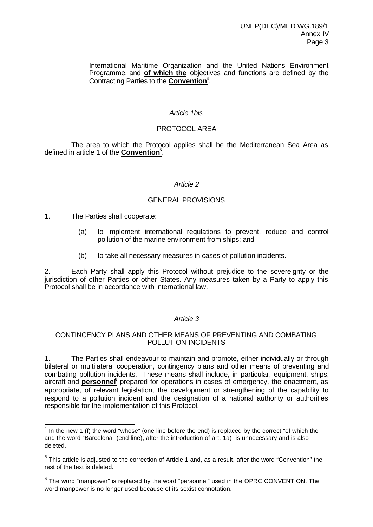International Maritime Organization and the United Nations Environment Programme, and **of which the** objectives and functions are defined by the Contracting Parties to the **Convention<sup>4</sup>** .

### *Article 1bis*

### PROTOCOL AREA

The area to which the Protocol applies shall be the Mediterranean Sea Area as defined in article 1 of the **Convention<sup>5</sup>** .

### *Article 2*

### GENERAL PROVISIONS

1. The Parties shall cooperate:

- (a) to implement international regulations to prevent, reduce and control pollution of the marine environment from ships; and
- (b) to take all necessary measures in cases of pollution incidents.

2. Each Party shall apply this Protocol without prejudice to the sovereignty or the jurisdiction of other Parties or other States. Any measures taken by a Party to apply this Protocol shall be in accordance with international law.

### *Article 3*

### CONTINCENCY PLANS AND OTHER MEANS OF PREVENTING AND COMBATING POLLUTION INCIDENTS

1. The Parties shall endeavour to maintain and promote, either individually or through bilateral or multilateral cooperation, contingency plans and other means of preventing and combating pollution incidents. These means shall include, in particular, equipment, ships, aircraft and **personnel**<sup>6</sup> prepared for operations in cases of emergency, the enactment, as appropriate, of relevant legislation, the development or strengthening of the capability to respond to a pollution incident and the designation of a national authority or authorities responsible for the implementation of this Protocol.

<sup>&</sup>lt;sup>4</sup> In the new 1 (f) the word "whose" (one line before the end) is replaced by the correct "of which the" and the word "Barcelona" (end line), after the introduction of art. 1a) is unnecessary and is also deleted.

 $<sup>5</sup>$  This article is adjusted to the correction of Article 1 and, as a result, after the word "Convention" the</sup> rest of the text is deleted.

 $^6$  The word "manpower" is replaced by the word "personnel" used in the OPRC CONVENTION. The word manpower is no longer used because of its sexist connotation.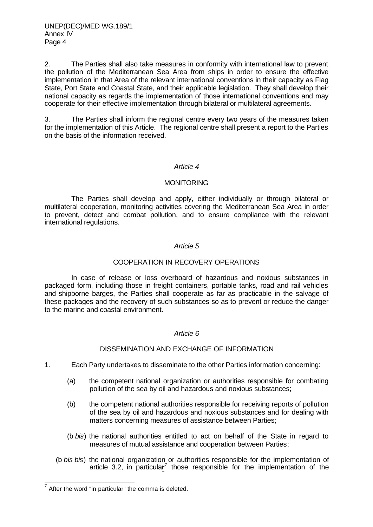2. The Parties shall also take measures in conformity with international law to prevent the pollution of the Mediterranean Sea Area from ships in order to ensure the effective implementation in that Area of the relevant international conventions in their capacity as Flag State, Port State and Coastal State, and their applicable legislation. They shall develop their national capacity as regards the implementation of those international conventions and may cooperate for their effective implementation through bilateral or multilateral agreements.

3. The Parties shall inform the regional centre every two years of the measures taken for the implementation of this Article. The regional centre shall present a report to the Parties on the basis of the information received.

### *Article 4*

### **MONITORING**

The Parties shall develop and apply, either individually or through bilateral or multilateral cooperation, monitoring activities covering the Mediterranean Sea Area in order to prevent, detect and combat pollution, and to ensure compliance with the relevant international regulations.

### *Article 5*

### COOPERATION IN RECOVERY OPERATIONS

In case of release or loss overboard of hazardous and noxious substances in packaged form, including those in freight containers, portable tanks, road and rail vehicles and shipborne barges, the Parties shall cooperate as far as practicable in the salvage of these packages and the recovery of such substances so as to prevent or reduce the danger to the marine and coastal environment.

### *Article 6*

### DISSEMINATION AND EXCHANGE OF INFORMATION

- 1. Each Party undertakes to disseminate to the other Parties information concerning:
	- (a) the competent national organization or authorities responsible for combating pollution of the sea by oil and hazardous and noxious substances;
	- (b) the competent national authorities responsible for receiving reports of pollution of the sea by oil and hazardous and noxious substances and for dealing with matters concerning measures of assistance between Parties;
	- (b *bis*) the national authorities entitled to act on behalf of the State in regard to measures of mutual assistance and cooperation between Parties;
	- (b *bis bis*) the national organization or authorities responsible for the implementation of article 3.2, in particular<sup>7</sup> those responsible for the implementation of the

 $\overline{7}$  After the word "in particular" the comma is deleted.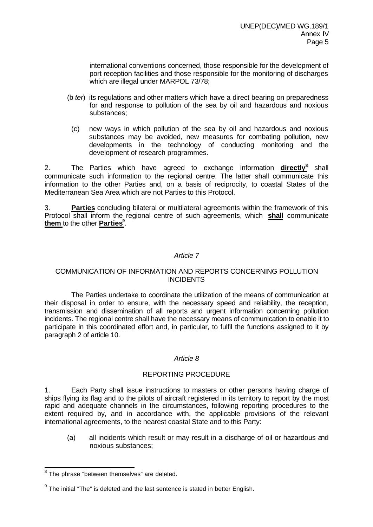international conventions concerned, those responsible for the development of port reception facilities and those responsible for the monitoring of discharges which are illegal under MARPOL 73/78;

- (b *ter*) its regulations and other matters which have a direct bearing on preparedness for and response to pollution of the sea by oil and hazardous and noxious substances;
	- (c) new ways in which pollution of the sea by oil and hazardous and noxious substances may be avoided, new measures for combating pollution, new developments in the technology of conducting monitoring and the development of research programmes.

2. The Parties which have agreed to exchange information **directly**<sup>8</sup> shall communicate such information to the regional centre. The latter shall communicate this information to the other Parties and, on a basis of reciprocity, to coastal States of the Mediterranean Sea Area which are not Parties to this Protocol.

3. **Parties** concluding bilateral or multilateral agreements within the framework of this Protocol shall inform the regional centre of such agreements, which **shall** communicate **them** to the other **Parties<sup>9</sup>** .

### *Article 7*

### COMMUNICATION OF INFORMATION AND REPORTS CONCERNING POLLUTION INCIDENTS

The Parties undertake to coordinate the utilization of the means of communication at their disposal in order to ensure, with the necessary speed and reliability, the reception, transmission and dissemination of all reports and urgent information concerning pollution incidents. The regional centre shall have the necessary means of communication to enable it to participate in this coordinated effort and, in particular, to fulfil the functions assigned to it by paragraph 2 of article 10.

### *Article 8*

### REPORTING PROCEDURE

1. Each Party shall issue instructions to masters or other persons having charge of ships flying its flag and to the pilots of aircraft registered in its territory to report by the most rapid and adequate channels in the circumstances, following reporting procedures to the extent required by, and in accordance with, the applicable provisions of the relevant international agreements, to the nearest coastal State and to this Party:

(a) all incidents which result or may result in a discharge of oil or hazardous and noxious substances;

<sup>&</sup>lt;sup>8</sup> The phrase "between themselves" are deleted.

 $^9$  The initial "The" is deleted and the last sentence is stated in better English.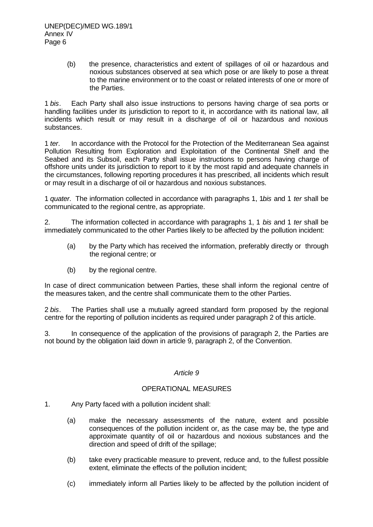(b) the presence, characteristics and extent of spillages of oil or hazardous and noxious substances observed at sea which pose or are likely to pose a threat to the marine environment or to the coast or related interests of one or more of the Parties.

1 *bis*. Each Party shall also issue instructions to persons having charge of sea ports or handling facilities under its jurisdiction to report to it, in accordance with its national law, all incidents which result or may result in a discharge of oil or hazardous and noxious substances.

1 *ter*. In accordance with the Protocol for the Protection of the Mediterranean Sea against Pollution Resulting from Exploration and Exploitation of the Continental Shelf and the Seabed and its Subsoil, each Party shall issue instructions to persons having charge of offshore units under its jurisdiction to report to it by the most rapid and adequate channels in the circumstances, following reporting procedures it has prescribed, all incidents which result or may result in a discharge of oil or hazardous and noxious substances.

1 *quater*. The information collected in accordance with paragraphs 1, 1*bis* and 1 *ter* shall be communicated to the regional centre, as appropriate.

2. The information collected in accordance with paragraphs 1, 1 *bis* and 1 *ter* shall be immediately communicated to the other Parties likely to be affected by the pollution incident:

- (a) by the Party which has received the information, preferably directly or through the regional centre; or
- (b) by the regional centre.

In case of direct communication between Parties, these shall inform the regional centre of the measures taken, and the centre shall communicate them to the other Parties.

2 *bis*. The Parties shall use a mutually agreed standard form proposed by the regional centre for the reporting of pollution incidents as required under paragraph 2 of this article.

3. In consequence of the application of the provisions of paragraph 2, the Parties are not bound by the obligation laid down in article 9, paragraph 2, of the Convention.

### *Article 9*

### OPERATIONAL MEASURES

- 1. Any Party faced with a pollution incident shall:
	- (a) make the necessary assessments of the nature, extent and possible consequences of the pollution incident or, as the case may be, the type and approximate quantity of oil or hazardous and noxious substances and the direction and speed of drift of the spillage;
	- (b) take every practicable measure to prevent, reduce and, to the fullest possible extent, eliminate the effects of the pollution incident;
	- (c) immediately inform all Parties likely to be affected by the pollution incident of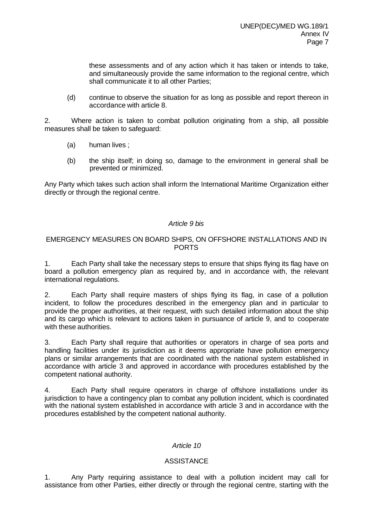these assessments and of any action which it has taken or intends to take, and simultaneously provide the same information to the regional centre, which shall communicate it to all other Parties;

(d) continue to observe the situation for as long as possible and report thereon in accordance with article 8.

2. Where action is taken to combat pollution originating from a ship, all possible measures shall be taken to safeguard:

- (a) human lives ;
- (b) the ship itself; in doing so, damage to the environment in general shall be prevented or minimized.

Any Party which takes such action shall inform the International Maritime Organization either directly or through the regional centre.

### *Article 9 bis*

### EMERGENCY MEASURES ON BOARD SHIPS, ON OFFSHORE INSTALLATIONS AND IN PORTS

1. Each Party shall take the necessary steps to ensure that ships flying its flag have on board a pollution emergency plan as required by, and in accordance with, the relevant international regulations.

2. Each Party shall require masters of ships flying its flag, in case of a pollution incident, to follow the procedures described in the emergency plan and in particular to provide the proper authorities, at their request, with such detailed information about the ship and its cargo which is relevant to actions taken in pursuance of article 9, and to cooperate with these authorities.

3. Each Party shall require that authorities or operators in charge of sea ports and handling facilities under its jurisdiction as it deems appropriate have pollution emergency plans or similar arrangements that are coordinated with the national system established in accordance with article 3 and approved in accordance with procedures established by the competent national authority.

4. Each Party shall require operators in charge of offshore installations under its jurisdiction to have a contingency plan to combat any pollution incident, which is coordinated with the national system established in accordance with article 3 and in accordance with the procedures established by the competent national authority.

### *Article 10*

### ASSISTANCE

1. Any Party requiring assistance to deal with a pollution incident may call for assistance from other Parties, either directly or through the regional centre, starting with the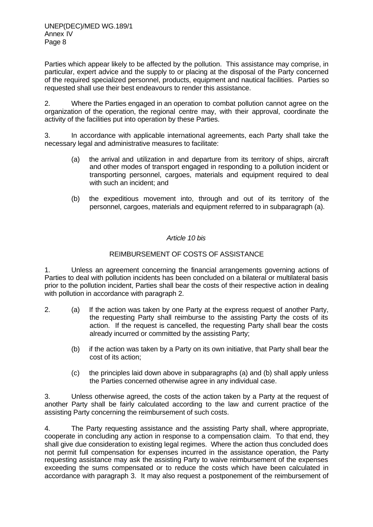Parties which appear likely to be affected by the pollution. This assistance may comprise, in particular, expert advice and the supply to or placing at the disposal of the Party concerned of the required specialized personnel, products, equipment and nautical facilities. Parties so requested shall use their best endeavours to render this assistance.

2. Where the Parties engaged in an operation to combat pollution cannot agree on the organization of the operation, the regional centre may, with their approval, coordinate the activity of the facilities put into operation by these Parties.

3. In accordance with applicable international agreements, each Party shall take the necessary legal and administrative measures to facilitate:

- (a) the arrival and utilization in and departure from its territory of ships, aircraft and other modes of transport engaged in responding to a pollution incident or transporting personnel, cargoes, materials and equipment required to deal with such an incident; and
- (b) the expeditious movement into, through and out of its territory of the personnel, cargoes, materials and equipment referred to in subparagraph (a).

### *Article 10 bis*

### REIMBURSEMENT OF COSTS OF ASSISTANCE

1. Unless an agreement concerning the financial arrangements governing actions of Parties to deal with pollution incidents has been concluded on a bilateral or multilateral basis prior to the pollution incident, Parties shall bear the costs of their respective action in dealing with pollution in accordance with paragraph 2.

- 2. (a) If the action was taken by one Party at the express request of another Party, the requesting Party shall reimburse to the assisting Party the costs of its action. If the request is cancelled, the requesting Party shall bear the costs already incurred or committed by the assisting Party;
	- (b) if the action was taken by a Party on its own initiative, that Party shall bear the cost of its action;
	- (c) the principles laid down above in subparagraphs (a) and (b) shall apply unless the Parties concerned otherwise agree in any individual case.

3. Unless otherwise agreed, the costs of the action taken by a Party at the request of another Party shall be fairly calculated according to the law and current practice of the assisting Party concerning the reimbursement of such costs.

4. The Party requesting assistance and the assisting Party shall, where appropriate, cooperate in concluding any action in response to a compensation claim. To that end, they shall give due consideration to existing legal regimes. Where the action thus concluded does not permit full compensation for expenses incurred in the assistance operation, the Party requesting assistance may ask the assisting Party to waive reimbursement of the expenses exceeding the sums compensated or to reduce the costs which have been calculated in accordance with paragraph 3. It may also request a postponement of the reimbursement of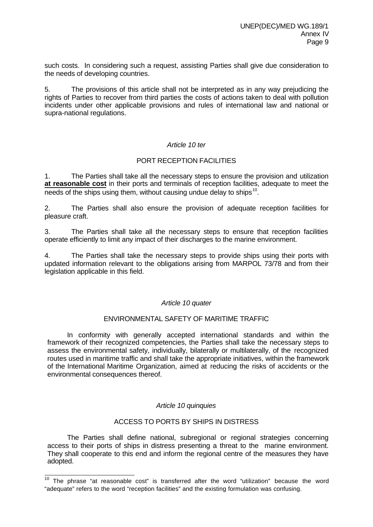such costs. In considering such a request, assisting Parties shall give due consideration to the needs of developing countries.

5. The provisions of this article shall not be interpreted as in any way prejudicing the rights of Parties to recover from third parties the costs of actions taken to deal with pollution incidents under other applicable provisions and rules of international law and national or supra-national regulations.

### *Article 10 ter*

### PORT RECEPTION FACILITIES

1. The Parties shall take all the necessary steps to ensure the provision and utilization **at reasonable cost** in their ports and terminals of reception facilities, adequate to meet the needs of the ships using them, without causing undue delay to ships<sup>10</sup>.

2. The Parties shall also ensure the provision of adequate reception facilities for pleasure craft.

3. The Parties shall take all the necessary steps to ensure that reception facilities operate efficiently to limit any impact of their discharges to the marine environment.

4. The Parties shall take the necessary steps to provide ships using their ports with updated information relevant to the obligations arising from MARPOL 73/78 and from their legislation applicable in this field.

### *Article 10 quater*

### ENVIRONMENTAL SAFETY OF MARITIME TRAFFIC

In conformity with generally accepted international standards and within the framework of their recognized competencies, the Parties shall take the necessary steps to assess the environmental safety, individually, bilaterally or multilaterally, of the recognized routes used in maritime traffic and shall take the appropriate initiatives, within the framework of the International Maritime Organization, aimed at reducing the risks of accidents or the environmental consequences thereof.

### *Article 10 quinquies*

### ACCESS TO PORTS BY SHIPS IN DISTRESS

The Parties shall define national, subregional or regional strategies concerning access to their ports of ships in distress presenting a threat to the marine environment. They shall cooperate to this end and inform the regional centre of the measures they have adopted.

 $\overline{\phantom{a}}$ 

 $10$  The phrase "at reasonable cost" is transferred after the word "utilization" because the word "adequate" refers to the word "reception facilities" and the existing formulation was confusing.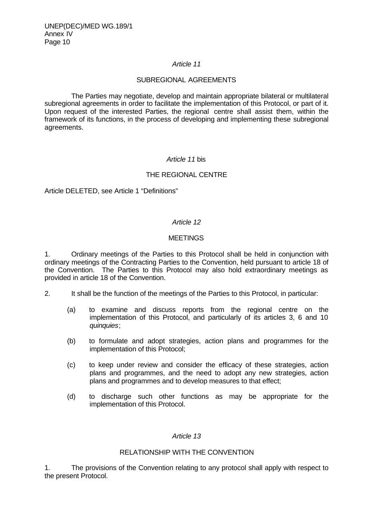### *Article 11*

### SUBREGIONAL AGREEMENTS

The Parties may negotiate, develop and maintain appropriate bilateral or multilateral subregional agreements in order to facilitate the implementation of this Protocol, or part of it. Upon request of the interested Parties, the regional centre shall assist them, within the framework of its functions, in the process of developing and implementing these subregional agreements.

### *Article 11* bis

### THE REGIONAL CENTRE

Article DELETED, see Article 1 "Definitions"

### *Article 12*

### **MEETINGS**

1. Ordinary meetings of the Parties to this Protocol shall be held in conjunction with ordinary meetings of the Contracting Parties to the Convention, held pursuant to article 18 of the Convention. The Parties to this Protocol may also hold extraordinary meetings as provided in article 18 of the Convention.

- 2. It shall be the function of the meetings of the Parties to this Protocol, in particular:
	- (a) to examine and discuss reports from the regional centre on the implementation of this Protocol, and particularly of its articles 3, 6 and 10 *quinquies*;
	- (b) to formulate and adopt strategies, action plans and programmes for the implementation of this Protocol;
	- (c) to keep under review and consider the efficacy of these strategies, action plans and programmes, and the need to adopt any new strategies, action plans and programmes and to develop measures to that effect;
	- (d) to discharge such other functions as may be appropriate for the implementation of this Protocol.

### *Article 13*

### RELATIONSHIP WITH THE CONVENTION

1. The provisions of the Convention relating to any protocol shall apply with respect to the present Protocol.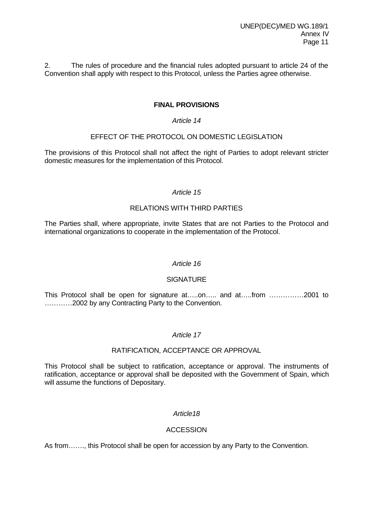2. The rules of procedure and the financial rules adopted pursuant to article 24 of the Convention shall apply with respect to this Protocol, unless the Parties agree otherwise.

### **FINAL PROVISIONS**

### *Article 14*

### EFFECT OF THE PROTOCOL ON DOMESTIC LEGISLATION

The provisions of this Protocol shall not affect the right of Parties to adopt relevant stricter domestic measures for the implementation of this Protocol.

### *Article 15*

### RELATIONS WITH THIRD PARTIES

The Parties shall, where appropriate, invite States that are not Parties to the Protocol and international organizations to cooperate in the implementation of the Protocol.

### *Article 16*

### **SIGNATURE**

This Protocol shall be open for signature at…..on….. and at…..from ……………2001 to …………2002 by any Contracting Party to the Convention.

### *Article 17*

### RATIFICATION, ACCEPTANCE OR APPROVAL

This Protocol shall be subject to ratification, acceptance or approval. The instruments of ratification, acceptance or approval shall be deposited with the Government of Spain, which will assume the functions of Depositary.

### *Article18*

### ACCESSION

As from……., this Protocol shall be open for accession by any Party to the Convention.